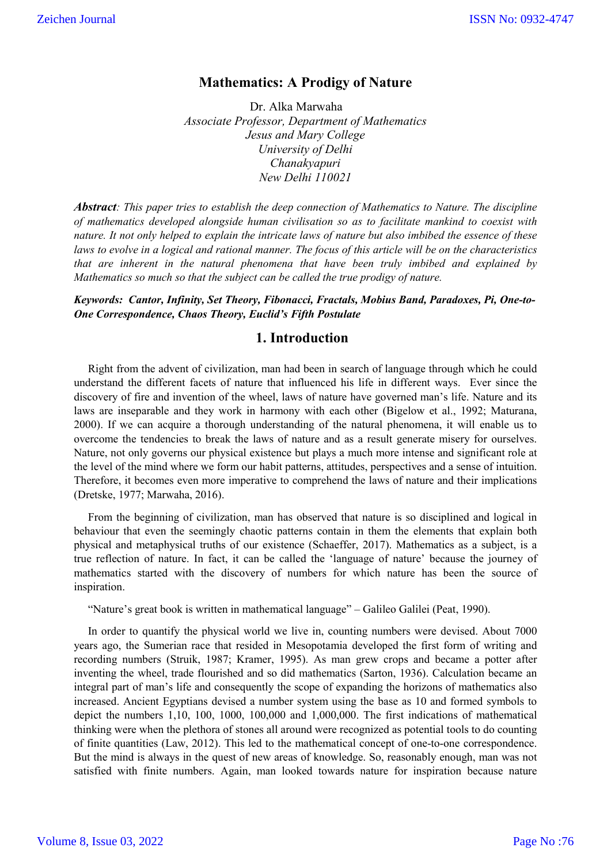# **Mathematics: A Prodigy of Nature**

Dr. Alka Marwaha *Associate Professor, Department of Mathematics Jesus and Mary College University of Delhi Chanakyapuri New Delhi 110021*

*Abstract: This paper tries to establish the deep connection of Mathematics to Nature. The discipline of mathematics developed alongside human civilisation so as to facilitate mankind to coexist with nature. It not only helped to explain the intricate laws of nature but also imbibed the essence of these laws to evolve in a logical and rational manner. The focus of this article will be on the characteristics that are inherent in the natural phenomena that have been truly imbibed and explained by Mathematics so much so that the subject can be called the true prodigy of nature.*

*Keywords: Cantor, Infinity, Set Theory, Fibonacci, Fractals, Mobius Band, Paradoxes, Pi, One-to-One Correspondence, Chaos Theory, Euclid's Fifth Postulate*

### **1. Introduction**

 Right from the advent of civilization, man had been in search of language through which he could understand the different facets of nature that influenced his life in different ways. Ever since the discovery of fire and invention of the wheel, laws of nature have governed man's life. Nature and its laws are inseparable and they work in harmony with each other (Bigelow et al., 1992; Maturana, 2000). If we can acquire a thorough understanding of the natural phenomena, it will enable us to overcome the tendencies to break the laws of nature and as a result generate misery for ourselves. Nature, not only governs our physical existence but plays a much more intense and significant role at the level of the mind where we form our habit patterns, attitudes, perspectives and a sense of intuition. Therefore, it becomes even more imperative to comprehend the laws of nature and their implications (Dretske, 1977; Marwaha, 2016).

 From the beginning of civilization, man has observed that nature is so disciplined and logical in behaviour that even the seemingly chaotic patterns contain in them the elements that explain both physical and metaphysical truths of our existence (Schaeffer, 2017). Mathematics as a subject, is a true reflection of nature. In fact, it can be called the 'language of nature' because the journey of mathematics started with the discovery of numbers for which nature has been the source of inspiration.

"Nature's great book is written in mathematical language" – Galileo Galilei (Peat, 1990).

 In order to quantify the physical world we live in, counting numbers were devised. About 7000 years ago, the Sumerian race that resided in Mesopotamia developed the first form of writing and recording numbers (Struik, 1987; Kramer, 1995). As man grew crops and became a potter after inventing the wheel, trade flourished and so did mathematics (Sarton, 1936). Calculation became an integral part of man's life and consequently the scope of expanding the horizons of mathematics also increased. Ancient Egyptians devised a number system using the base as 10 and formed symbols to depict the numbers 1,10, 100, 1000, 100,000 and 1,000,000. The first indications of mathematical thinking were when the plethora of stones all around were recognized as potential tools to do counting of finite quantities (Law, 2012). This led to the mathematical concept of one-to-one correspondence. But the mind is always in the quest of new areas of knowledge. So, reasonably enough, man was not satisfied with finite numbers. Again, man looked towards nature for inspiration because nature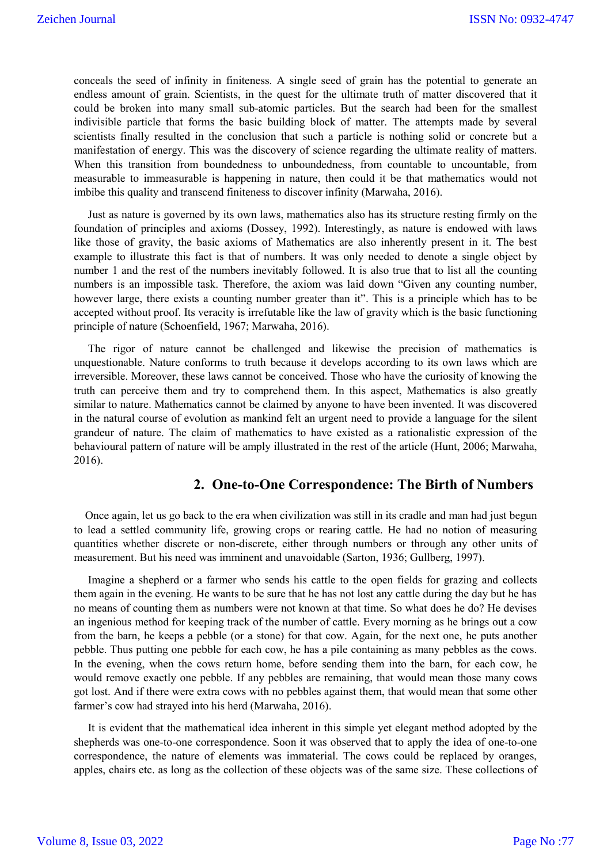conceals the seed of infinity in finiteness. A single seed of grain has the potential to generate an endless amount of grain. Scientists, in the quest for the ultimate truth of matter discovered that it could be broken into many small sub-atomic particles. But the search had been for the smallest indivisible particle that forms the basic building block of matter. The attempts made by several scientists finally resulted in the conclusion that such a particle is nothing solid or concrete but a manifestation of energy. This was the discovery of science regarding the ultimate reality of matters. When this transition from boundedness to unboundedness, from countable to uncountable, from measurable to immeasurable is happening in nature, then could it be that mathematics would not imbibe this quality and transcend finiteness to discover infinity (Marwaha, 2016).

 Just as nature is governed by its own laws, mathematics also has its structure resting firmly on the foundation of principles and axioms (Dossey, 1992). Interestingly, as nature is endowed with laws like those of gravity, the basic axioms of Mathematics are also inherently present in it. The best example to illustrate this fact is that of numbers. It was only needed to denote a single object by number 1 and the rest of the numbers inevitably followed. It is also true that to list all the counting numbers is an impossible task. Therefore, the axiom was laid down "Given any counting number, however large, there exists a counting number greater than it". This is a principle which has to be accepted without proof. Its veracity is irrefutable like the law of gravity which is the basic functioning principle of nature (Schoenfield, 1967; Marwaha, 2016).

 The rigor of nature cannot be challenged and likewise the precision of mathematics is unquestionable. Nature conforms to truth because it develops according to its own laws which are irreversible. Moreover, these laws cannot be conceived. Those who have the curiosity of knowing the truth can perceive them and try to comprehend them. In this aspect, Mathematics is also greatly similar to nature. Mathematics cannot be claimed by anyone to have been invented. It was discovered in the natural course of evolution as mankind felt an urgent need to provide a language for the silent grandeur of nature. The claim of mathematics to have existed as a rationalistic expression of the behavioural pattern of nature will be amply illustrated in the rest of the article (Hunt, 2006; Marwaha, 2016).

### **2. One-to-One Correspondence: The Birth of Numbers**

 Once again, let us go back to the era when civilization was still in its cradle and man had just begun to lead a settled community life, growing crops or rearing cattle. He had no notion of measuring quantities whether discrete or non-discrete, either through numbers or through any other units of measurement. But his need was imminent and unavoidable (Sarton, 1936; Gullberg, 1997).

 Imagine a shepherd or a farmer who sends his cattle to the open fields for grazing and collects them again in the evening. He wants to be sure that he has not lost any cattle during the day but he has no means of counting them as numbers were not known at that time. So what does he do? He devises an ingenious method for keeping track of the number of cattle. Every morning as he brings out a cow from the barn, he keeps a pebble (or a stone) for that cow. Again, for the next one, he puts another pebble. Thus putting one pebble for each cow, he has a pile containing as many pebbles as the cows. In the evening, when the cows return home, before sending them into the barn, for each cow, he would remove exactly one pebble. If any pebbles are remaining, that would mean those many cows got lost. And if there were extra cows with no pebbles against them, that would mean that some other farmer's cow had strayed into his herd (Marwaha, 2016).

 It is evident that the mathematical idea inherent in this simple yet elegant method adopted by the shepherds was one-to-one correspondence. Soon it was observed that to apply the idea of one-to-one correspondence, the nature of elements was immaterial. The cows could be replaced by oranges, apples, chairs etc. as long as the collection of these objects was of the same size. These collections of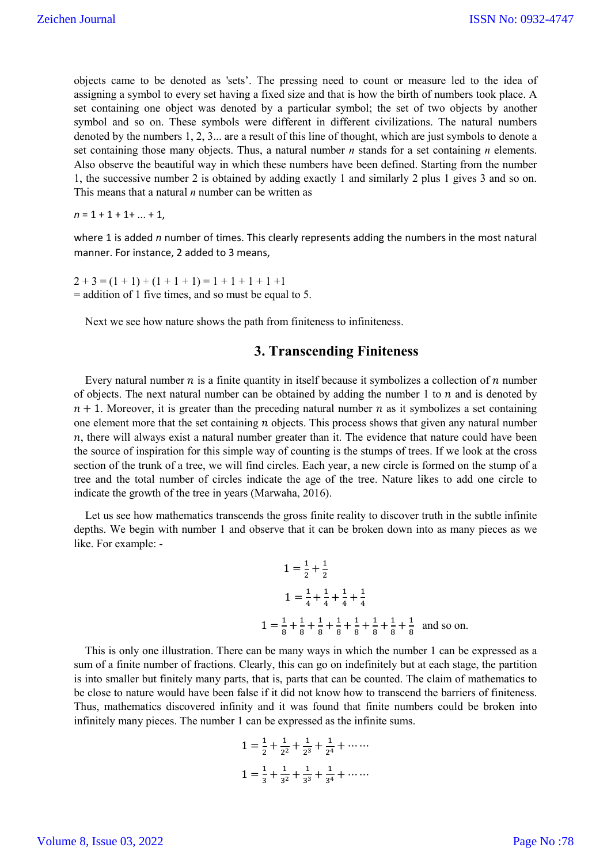objects came to be denoted as 'sets'. The pressing need to count or measure led to the idea of assigning a symbol to every set having a fixed size and that is how the birth of numbers took place. A set containing one object was denoted by a particular symbol; the set of two objects by another symbol and so on. These symbols were different in different civilizations. The natural numbers denoted by the numbers 1, 2, 3... are a result of this line of thought, which are just symbols to denote a set containing those many objects. Thus, a natural number *n* stands for a set containing *n* elements. Also observe the beautiful way in which these numbers have been defined. Starting from the number 1, the successive number 2 is obtained by adding exactly 1 and similarly 2 plus 1 gives 3 and so on. This means that a natural *n* number can be written as

 $n = 1 + 1 + 1 + \ldots + 1$ ,

where 1 is added *n* number of times. This clearly represents adding the numbers in the most natural manner. For instance, 2 added to 3 means,

 $2+3 = (1 + 1) + (1 + 1 + 1) = 1 + 1 + 1 + 1 + 1$ = addition of 1 five times, and so must be equal to 5.

Next we see how nature shows the path from finiteness to infiniteness.

### **3. Transcending Finiteness**

Every natural number  $n$  is a finite quantity in itself because it symbolizes a collection of  $n$  number of objects. The next natural number can be obtained by adding the number 1 to  $n$  and is denoted by  $n + 1$ . Moreover, it is greater than the preceding natural number *n* as it symbolizes a set containing one element more that the set containing  $n$  objects. This process shows that given any natural number  $n$ , there will always exist a natural number greater than it. The evidence that nature could have been the source of inspiration for this simple way of counting is the stumps of trees. If we look at the cross section of the trunk of a tree, we will find circles. Each year, a new circle is formed on the stump of a tree and the total number of circles indicate the age of the tree. Nature likes to add one circle to indicate the growth of the tree in years (Marwaha, 2016).

 Let us see how mathematics transcends the gross finite reality to discover truth in the subtle infinite depths. We begin with number 1 and observe that it can be broken down into as many pieces as we like. For example: -

$$
1 = \frac{1}{2} + \frac{1}{2}
$$
  
\n
$$
1 = \frac{1}{4} + \frac{1}{4} + \frac{1}{4} + \frac{1}{4}
$$
  
\n
$$
1 = \frac{1}{8} + \frac{1}{8} + \frac{1}{8} + \frac{1}{8} + \frac{1}{8} + \frac{1}{8} + \frac{1}{8} + \frac{1}{8}
$$
 and so on.

 This is only one illustration. There can be many ways in which the number 1 can be expressed as a sum of a finite number of fractions. Clearly, this can go on indefinitely but at each stage, the partition is into smaller but finitely many parts, that is, parts that can be counted. The claim of mathematics to be close to nature would have been false if it did not know how to transcend the barriers of finiteness. Thus, mathematics discovered infinity and it was found that finite numbers could be broken into infinitely many pieces. The number 1 can be expressed as the infinite sums.

$$
1 = \frac{1}{2} + \frac{1}{2^2} + \frac{1}{2^3} + \frac{1}{2^4} + \cdots
$$

$$
1 = \frac{1}{3} + \frac{1}{3^2} + \frac{1}{3^3} + \frac{1}{3^4} + \cdots
$$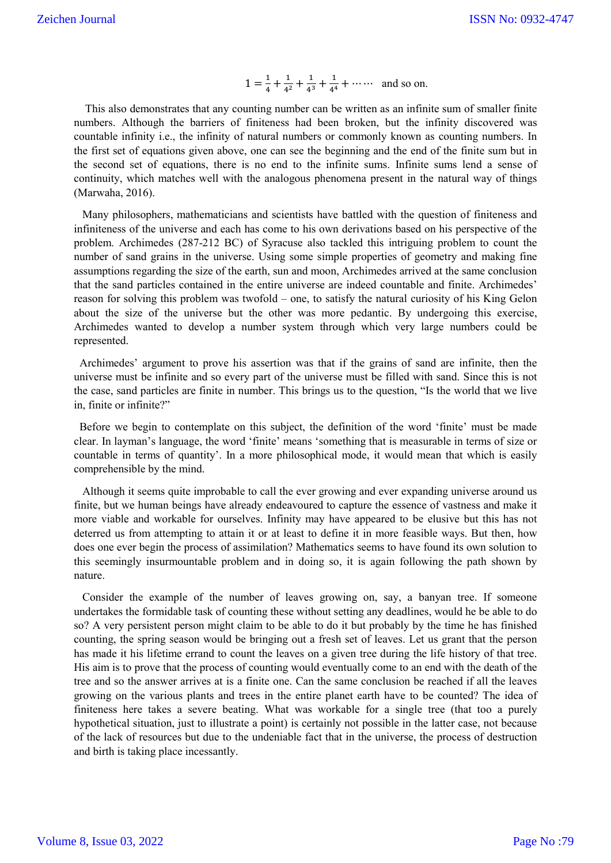$$
1 = \frac{1}{4} + \frac{1}{4^2} + \frac{1}{4^3} + \frac{1}{4^4} + \cdots
$$
 and so on.

 This also demonstrates that any counting number can be written as an infinite sum of smaller finite numbers. Although the barriers of finiteness had been broken, but the infinity discovered was countable infinity i.e., the infinity of natural numbers or commonly known as counting numbers. In the first set of equations given above, one can see the beginning and the end of the finite sum but in the second set of equations, there is no end to the infinite sums. Infinite sums lend a sense of continuity, which matches well with the analogous phenomena present in the natural way of things (Marwaha, 2016).

 Many philosophers, mathematicians and scientists have battled with the question of finiteness and infiniteness of the universe and each has come to his own derivations based on his perspective of the problem. Archimedes (287-212 BC) of Syracuse also tackled this intriguing problem to count the number of sand grains in the universe. Using some simple properties of geometry and making fine assumptions regarding the size of the earth, sun and moon, Archimedes arrived at the same conclusion that the sand particles contained in the entire universe are indeed countable and finite. Archimedes' reason for solving this problem was twofold – one, to satisfy the natural curiosity of his King Gelon about the size of the universe but the other was more pedantic. By undergoing this exercise, Archimedes wanted to develop a number system through which very large numbers could be represented.

 Archimedes' argument to prove his assertion was that if the grains of sand are infinite, then the universe must be infinite and so every part of the universe must be filled with sand. Since this is not the case, sand particles are finite in number. This brings us to the question, "Is the world that we live in, finite or infinite?"

 Before we begin to contemplate on this subject, the definition of the word 'finite' must be made clear. In layman's language, the word 'finite' means 'something that is measurable in terms of size or countable in terms of quantity'. In a more philosophical mode, it would mean that which is easily comprehensible by the mind.

 Although it seems quite improbable to call the ever growing and ever expanding universe around us finite, but we human beings have already endeavoured to capture the essence of vastness and make it more viable and workable for ourselves. Infinity may have appeared to be elusive but this has not deterred us from attempting to attain it or at least to define it in more feasible ways. But then, how does one ever begin the process of assimilation? Mathematics seems to have found its own solution to this seemingly insurmountable problem and in doing so, it is again following the path shown by nature.

 Consider the example of the number of leaves growing on, say, a banyan tree. If someone undertakes the formidable task of counting these without setting any deadlines, would he be able to do so? A very persistent person might claim to be able to do it but probably by the time he has finished counting, the spring season would be bringing out a fresh set of leaves. Let us grant that the person has made it his lifetime errand to count the leaves on a given tree during the life history of that tree. His aim is to prove that the process of counting would eventually come to an end with the death of the tree and so the answer arrives at is a finite one. Can the same conclusion be reached if all the leaves growing on the various plants and trees in the entire planet earth have to be counted? The idea of finiteness here takes a severe beating. What was workable for a single tree (that too a purely hypothetical situation, just to illustrate a point) is certainly not possible in the latter case, not because of the lack of resources but due to the undeniable fact that in the universe, the process of destruction and birth is taking place incessantly.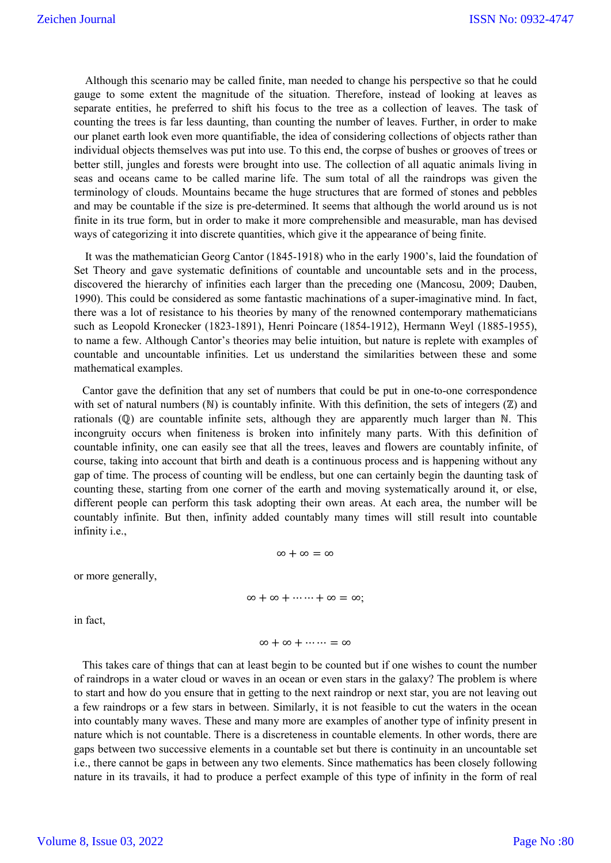Although this scenario may be called finite, man needed to change his perspective so that he could gauge to some extent the magnitude of the situation. Therefore, instead of looking at leaves as separate entities, he preferred to shift his focus to the tree as a collection of leaves. The task of counting the trees is far less daunting, than counting the number of leaves. Further, in order to make our planet earth look even more quantifiable, the idea of considering collections of objects rather than individual objects themselves was put into use. To this end, the corpse of bushes or grooves of trees or better still, jungles and forests were brought into use. The collection of all aquatic animals living in seas and oceans came to be called marine life. The sum total of all the raindrops was given the terminology of clouds. Mountains became the huge structures that are formed of stones and pebbles and may be countable if the size is pre-determined. It seems that although the world around us is not finite in its true form, but in order to make it more comprehensible and measurable, man has devised ways of categorizing it into discrete quantities, which give it the appearance of being finite.

 It was the mathematician Georg Cantor (1845-1918) who in the early 1900's, laid the foundation of Set Theory and gave systematic definitions of countable and uncountable sets and in the process, discovered the hierarchy of infinities each larger than the preceding one (Mancosu, 2009; Dauben, 1990). This could be considered as some fantastic machinations of a super-imaginative mind. In fact, there was a lot of resistance to his theories by many of the renowned contemporary mathematicians such as Leopold Kronecker (1823-1891), Henri Poincare (1854-1912), Hermann Weyl (1885-1955), to name a few. Although Cantor's theories may belie intuition, but nature is replete with examples of countable and uncountable infinities. Let us understand the similarities between these and some mathematical examples.

 Cantor gave the definition that any set of numbers that could be put in one-to-one correspondence with set of natural numbers  $(N)$  is countably infinite. With this definition, the sets of integers  $(\mathbb{Z})$  and rationals (ℚ) are countable infinite sets, although they are apparently much larger than ℕ. This incongruity occurs when finiteness is broken into infinitely many parts. With this definition of countable infinity, one can easily see that all the trees, leaves and flowers are countably infinite, of course, taking into account that birth and death is a continuous process and is happening without any gap of time. The process of counting will be endless, but one can certainly begin the daunting task of counting these, starting from one corner of the earth and moving systematically around it, or else, different people can perform this task adopting their own areas. At each area, the number will be countably infinite. But then, infinity added countably many times will still result into countable infinity i.e.,

or more generally,

$$
\infty+\infty+\cdots+\infty=\infty;
$$

 $\infty + \infty + \cdots = \infty$ 

 $\infty + \infty = \infty$ 

in fact,

 This takes care of things that can at least begin to be counted but if one wishes to count the number of raindrops in a water cloud or waves in an ocean or even stars in the galaxy? The problem is where to start and how do you ensure that in getting to the next raindrop or next star, you are not leaving out a few raindrops or a few stars in between. Similarly, it is not feasible to cut the waters in the ocean into countably many waves. These and many more are examples of another type of infinity present in nature which is not countable. There is a discreteness in countable elements. In other words, there are gaps between two successive elements in a countable set but there is continuity in an uncountable set i.e., there cannot be gaps in between any two elements. Since mathematics has been closely following nature in its travails, it had to produce a perfect example of this type of infinity in the form of real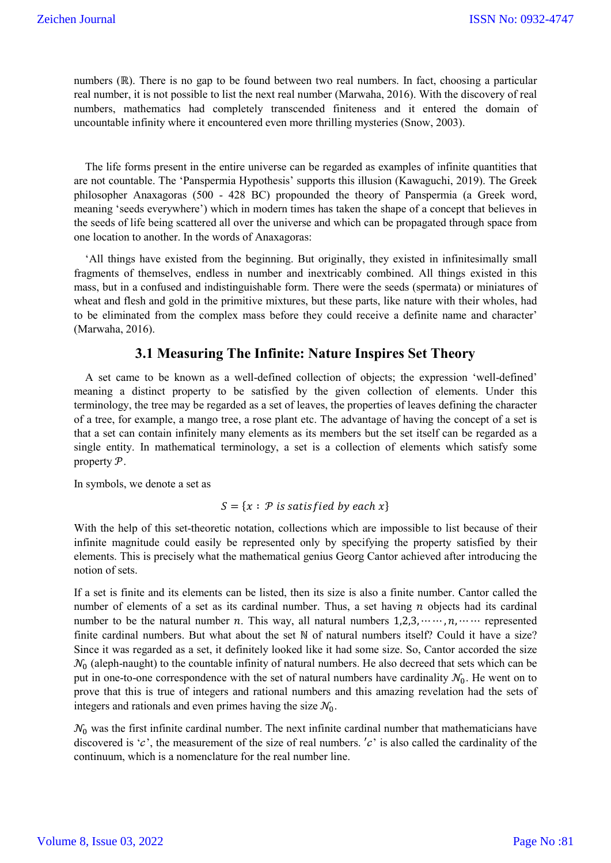numbers (ℝ). There is no gap to be found between two real numbers. In fact, choosing a particular real number, it is not possible to list the next real number (Marwaha, 2016). With the discovery of real numbers, mathematics had completely transcended finiteness and it entered the domain of uncountable infinity where it encountered even more thrilling mysteries (Snow, 2003).

 The life forms present in the entire universe can be regarded as examples of infinite quantities that are not countable. The 'Panspermia Hypothesis' supports this illusion (Kawaguchi, 2019). The Greek philosopher Anaxagoras (500 - 428 BC) propounded the theory of Panspermia (a Greek word, meaning 'seeds everywhere') which in modern times has taken the shape of a concept that believes in the seeds of life being scattered all over the universe and which can be propagated through space from one location to another. In the words of Anaxagoras:

 'All things have existed from the beginning. But originally, they existed in infinitesimally small fragments of themselves, endless in number and inextricably combined. All things existed in this mass, but in a confused and indistinguishable form. There were the seeds (spermata) or miniatures of wheat and flesh and gold in the primitive mixtures, but these parts, like nature with their wholes, had to be eliminated from the complex mass before they could receive a definite name and character' (Marwaha, 2016).

### **3.1 Measuring The Infinite: Nature Inspires Set Theory**

 A set came to be known as a well-defined collection of objects; the expression 'well-defined' meaning a distinct property to be satisfied by the given collection of elements. Under this terminology, the tree may be regarded as a set of leaves, the properties of leaves defining the character of a tree, for example, a mango tree, a rose plant etc. The advantage of having the concept of a set is that a set can contain infinitely many elements as its members but the set itself can be regarded as a single entity. In mathematical terminology, a set is a collection of elements which satisfy some property  $\mathcal{P}$ .

In symbols, we denote a set as

$$
S = \{x : P \text{ is satisfied by each } x\}
$$

With the help of this set-theoretic notation, collections which are impossible to list because of their infinite magnitude could easily be represented only by specifying the property satisfied by their elements. This is precisely what the mathematical genius Georg Cantor achieved after introducing the notion of sets.

If a set is finite and its elements can be listed, then its size is also a finite number. Cantor called the number of elements of a set as its cardinal number. Thus, a set having  $n$  objects had its cardinal number to be the natural number n. This way, all natural numbers  $1,2,3,\dots, n, \dots$  represented finite cardinal numbers. But what about the set N of natural numbers itself? Could it have a size? Since it was regarded as a set, it definitely looked like it had some size. So, Cantor accorded the size  $\mathcal{N}_0$  (aleph-naught) to the countable infinity of natural numbers. He also decreed that sets which can be put in one-to-one correspondence with the set of natural numbers have cardinality  $\mathcal{N}_0$ . He went on to prove that this is true of integers and rational numbers and this amazing revelation had the sets of integers and rationals and even primes having the size  $\mathcal{N}_0$ .

 $\mathcal{N}_0$  was the first infinite cardinal number. The next infinite cardinal number that mathematicians have discovered is ' $c$ ', the measurement of the size of real numbers. ' $c$ ' is also called the cardinality of the continuum, which is a nomenclature for the real number line.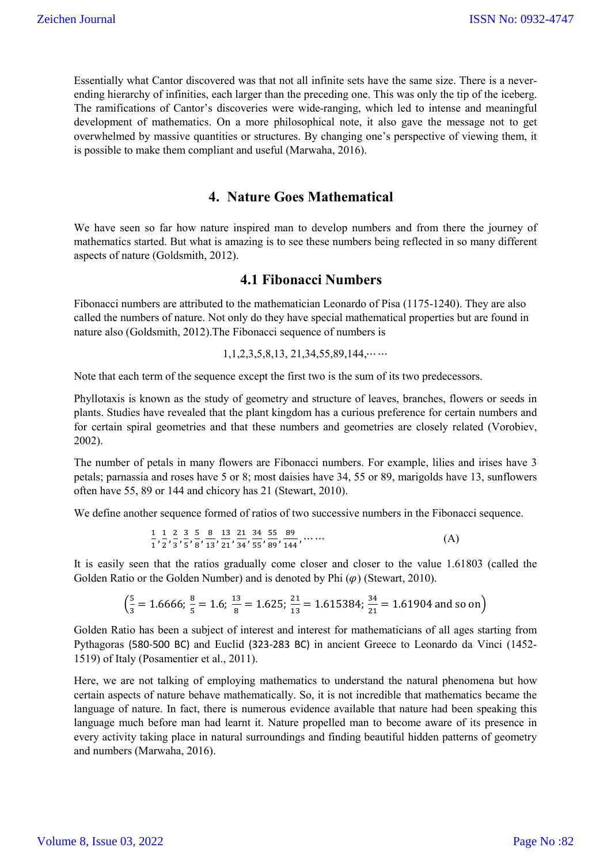Essentially what Cantor discovered was that not all infinite sets have the same size. There is a neverending hierarchy of infinities, each larger than the preceding one. This was only the tip of the iceberg. The ramifications of Cantor's discoveries were wide-ranging, which led to intense and meaningful development of mathematics. On a more philosophical note, it also gave the message not to get overwhelmed by massive quantities or structures. By changing one's perspective of viewing them, it is possible to make them compliant and useful (Marwaha, 2016).

## **4. Nature Goes Mathematical**

We have seen so far how nature inspired man to develop numbers and from there the journey of mathematics started. But what is amazing is to see these numbers being reflected in so many different aspects of nature (Goldsmith, 2012).

### **4.1 Fibonacci Numbers**

Fibonacci numbers are attributed to the mathematician Leonardo of Pisa (1175-1240). They are also called the numbers of nature. Not only do they have special mathematical properties but are found in nature also (Goldsmith, 2012).The Fibonacci sequence of numbers is

 $1,1,2,3,5,8,13, 21,34,55,89,144, \cdots$ 

Note that each term of the sequence except the first two is the sum of its two predecessors.

Phyllotaxis is known as the study of geometry and structure of leaves, branches, flowers or seeds in plants. Studies have revealed that the plant kingdom has a curious preference for certain numbers and for certain spiral geometries and that these numbers and geometries are closely related (Vorobiev, 2002).

The number of petals in many flowers are Fibonacci numbers. For example, lilies and irises have 3 petals; parnassia and roses have 5 or 8; most daisies have 34, 55 or 89, marigolds have 13, sunflowers often have 55, 89 or 144 and chicory has 21 (Stewart, 2010).

We define another sequence formed of ratios of two successive numbers in the Fibonacci sequence.

$$
\frac{1}{1}, \frac{1}{2}, \frac{2}{3}, \frac{3}{5}, \frac{5}{8}, \frac{8}{13}, \frac{13}{21}, \frac{21}{34}, \frac{34}{55}, \frac{55}{89}, \frac{89}{144}, \dots
$$
 (A)

It is easily seen that the ratios gradually come closer and closer to the value 1.61803 (called the Golden Ratio or the Golden Number) and is denoted by Phi  $(\varphi)$  (Stewart, 2010).

$$
\left(\frac{5}{3} = 1.6666; \frac{8}{5} = 1.6; \frac{13}{8} = 1.625; \frac{21}{13} = 1.615384; \frac{34}{21} = 1.61904
$$
 and so on

Golden Ratio has been a subject of interest and interest for mathematicians of all ages starting from Pythagoras (580-500 BC) and Euclid (323-283 BC) in ancient Greece to Leonardo da Vinci (1452- 1519) of Italy (Posamentier et al., 2011).

Here, we are not talking of employing mathematics to understand the natural phenomena but how certain aspects of nature behave mathematically. So, it is not incredible that mathematics became the language of nature. In fact, there is numerous evidence available that nature had been speaking this language much before man had learnt it. Nature propelled man to become aware of its presence in every activity taking place in natural surroundings and finding beautiful hidden patterns of geometry and numbers (Marwaha, 2016).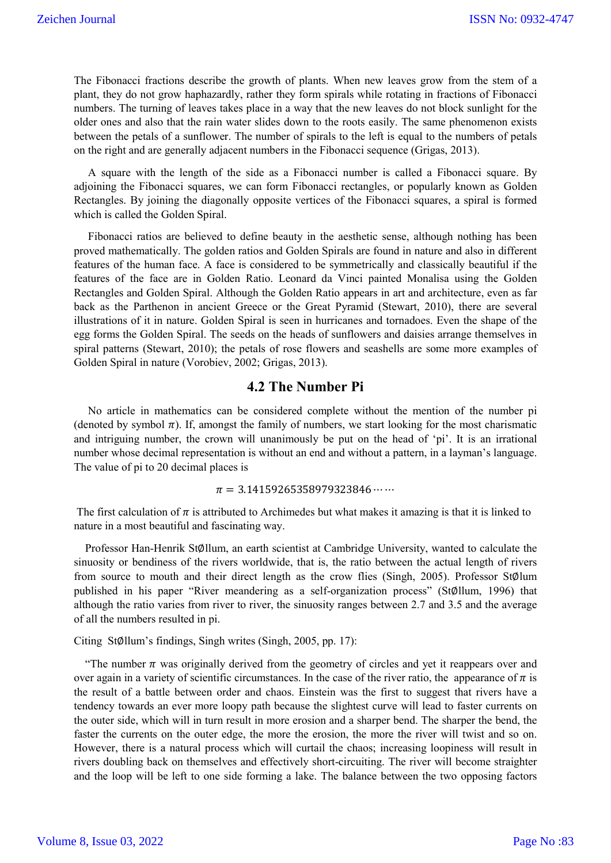The Fibonacci fractions describe the growth of plants. When new leaves grow from the stem of a plant, they do not grow haphazardly, rather they form spirals while rotating in fractions of Fibonacci numbers. The turning of leaves takes place in a way that the new leaves do not block sunlight for the older ones and also that the rain water slides down to the roots easily. The same phenomenon exists between the petals of a sunflower. The number of spirals to the left is equal to the numbers of petals on the right and are generally adjacent numbers in the Fibonacci sequence (Grigas, 2013).

 A square with the length of the side as a Fibonacci number is called a Fibonacci square. By adjoining the Fibonacci squares, we can form Fibonacci rectangles, or popularly known as Golden Rectangles. By joining the diagonally opposite vertices of the Fibonacci squares, a spiral is formed which is called the Golden Spiral.

 Fibonacci ratios are believed to define beauty in the aesthetic sense, although nothing has been proved mathematically. The golden ratios and Golden Spirals are found in nature and also in different features of the human face. A face is considered to be symmetrically and classically beautiful if the features of the face are in Golden Ratio. Leonard da Vinci painted Monalisa using the Golden Rectangles and Golden Spiral. Although the Golden Ratio appears in art and architecture, even as far back as the Parthenon in ancient Greece or the Great Pyramid (Stewart, 2010), there are several illustrations of it in nature. Golden Spiral is seen in hurricanes and tornadoes. Even the shape of the egg forms the Golden Spiral. The seeds on the heads of sunflowers and daisies arrange themselves in spiral patterns (Stewart, 2010); the petals of rose flowers and seashells are some more examples of Golden Spiral in nature (Vorobiev, 2002; Grigas, 2013).

## **4.2 The Number Pi**

 No article in mathematics can be considered complete without the mention of the number pi (denoted by symbol  $\pi$ ). If, amongst the family of numbers, we start looking for the most charismatic and intriguing number, the crown will unanimously be put on the head of 'pi'. It is an irrational number whose decimal representation is without an end and without a pattern, in a layman's language. The value of pi to 20 decimal places is

#### $\pi = 3.14159265358979323846 \cdots$

The first calculation of  $\pi$  is attributed to Archimedes but what makes it amazing is that it is linked to nature in a most beautiful and fascinating way.

 Professor Han-Henrik St∅llum, an earth scientist at Cambridge University, wanted to calculate the sinuosity or bendiness of the rivers worldwide, that is, the ratio between the actual length of rivers from source to mouth and their direct length as the crow flies (Singh, 2005). Professor StØlum published in his paper "River meandering as a self-organization process" (St∅llum, 1996) that although the ratio varies from river to river, the sinuosity ranges between 2.7 and 3.5 and the average of all the numbers resulted in pi.

Citing St∅llum's findings, Singh writes (Singh, 2005, pp. 17):

"The number  $\pi$  was originally derived from the geometry of circles and yet it reappears over and over again in a variety of scientific circumstances. In the case of the river ratio, the appearance of  $\pi$  is the result of a battle between order and chaos. Einstein was the first to suggest that rivers have a tendency towards an ever more loopy path because the slightest curve will lead to faster currents on the outer side, which will in turn result in more erosion and a sharper bend. The sharper the bend, the faster the currents on the outer edge, the more the erosion, the more the river will twist and so on. However, there is a natural process which will curtail the chaos; increasing loopiness will result in rivers doubling back on themselves and effectively short-circuiting. The river will become straighter and the loop will be left to one side forming a lake. The balance between the two opposing factors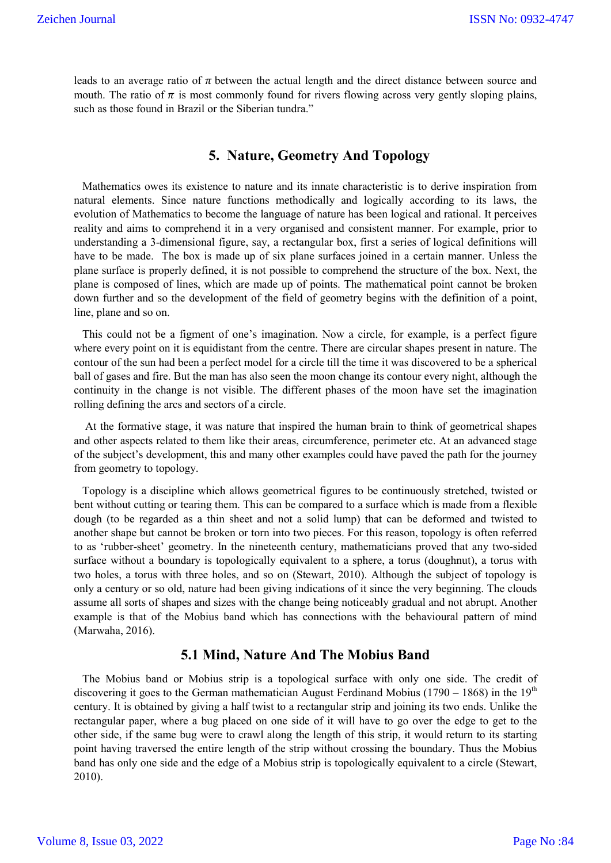leads to an average ratio of  $\pi$  between the actual length and the direct distance between source and mouth. The ratio of  $\pi$  is most commonly found for rivers flowing across very gently sloping plains, such as those found in Brazil or the Siberian tundra."

### **5. Nature, Geometry And Topology**

 Mathematics owes its existence to nature and its innate characteristic is to derive inspiration from natural elements. Since nature functions methodically and logically according to its laws, the evolution of Mathematics to become the language of nature has been logical and rational. It perceives reality and aims to comprehend it in a very organised and consistent manner. For example, prior to understanding a 3-dimensional figure, say, a rectangular box, first a series of logical definitions will have to be made. The box is made up of six plane surfaces joined in a certain manner. Unless the plane surface is properly defined, it is not possible to comprehend the structure of the box. Next, the plane is composed of lines, which are made up of points. The mathematical point cannot be broken down further and so the development of the field of geometry begins with the definition of a point, line, plane and so on.

 This could not be a figment of one's imagination. Now a circle, for example, is a perfect figure where every point on it is equidistant from the centre. There are circular shapes present in nature. The contour of the sun had been a perfect model for a circle till the time it was discovered to be a spherical ball of gases and fire. But the man has also seen the moon change its contour every night, although the continuity in the change is not visible. The different phases of the moon have set the imagination rolling defining the arcs and sectors of a circle.

 At the formative stage, it was nature that inspired the human brain to think of geometrical shapes and other aspects related to them like their areas, circumference, perimeter etc. At an advanced stage of the subject's development, this and many other examples could have paved the path for the journey from geometry to topology.

 Topology is a discipline which allows geometrical figures to be continuously stretched, twisted or bent without cutting or tearing them. This can be compared to a surface which is made from a flexible dough (to be regarded as a thin sheet and not a solid lump) that can be deformed and twisted to another shape but cannot be broken or torn into two pieces. For this reason, topology is often referred to as 'rubber-sheet' geometry. In the nineteenth century, mathematicians proved that any two-sided surface without a boundary is topologically equivalent to a sphere, a torus (doughnut), a torus with two holes, a torus with three holes, and so on (Stewart, 2010). Although the subject of topology is only a century or so old, nature had been giving indications of it since the very beginning. The clouds assume all sorts of shapes and sizes with the change being noticeably gradual and not abrupt. Another example is that of the Mobius band which has connections with the behavioural pattern of mind (Marwaha, 2016).

### **5.1 Mind, Nature And The Mobius Band**

 The Mobius band or Mobius strip is a topological surface with only one side. The credit of discovering it goes to the German mathematician August Ferdinand Mobius (1790 – 1868) in the  $19<sup>th</sup>$ century. It is obtained by giving a half twist to a rectangular strip and joining its two ends. Unlike the rectangular paper, where a bug placed on one side of it will have to go over the edge to get to the other side, if the same bug were to crawl along the length of this strip, it would return to its starting point having traversed the entire length of the strip without crossing the boundary. Thus the Mobius band has only one side and the edge of a Mobius strip is topologically equivalent to a circle (Stewart, 2010).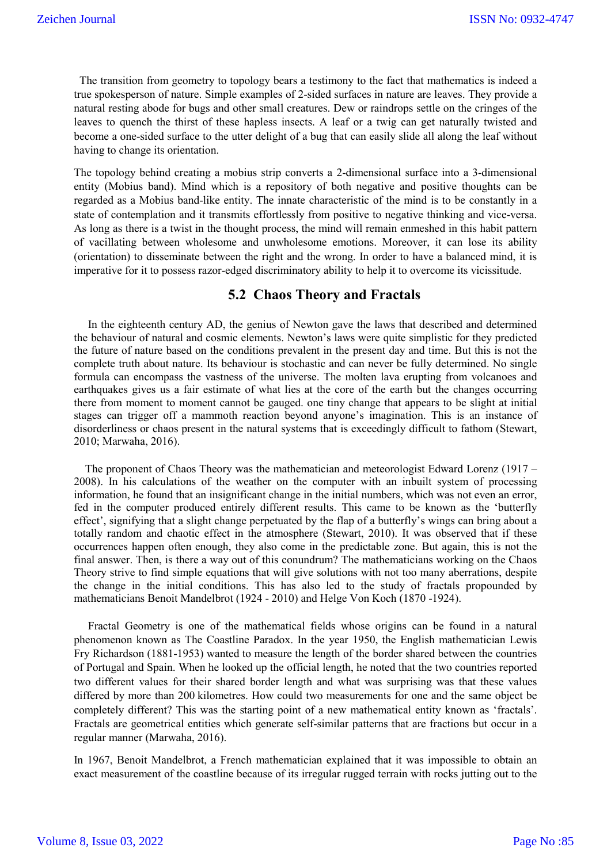The transition from geometry to topology bears a testimony to the fact that mathematics is indeed a true spokesperson of nature. Simple examples of 2-sided surfaces in nature are leaves. They provide a natural resting abode for bugs and other small creatures. Dew or raindrops settle on the cringes of the leaves to quench the thirst of these hapless insects. A leaf or a twig can get naturally twisted and become a one-sided surface to the utter delight of a bug that can easily slide all along the leaf without having to change its orientation.

The topology behind creating a mobius strip converts a 2-dimensional surface into a 3-dimensional entity (Mobius band). Mind which is a repository of both negative and positive thoughts can be regarded as a Mobius band-like entity. The innate characteristic of the mind is to be constantly in a state of contemplation and it transmits effortlessly from positive to negative thinking and vice-versa. As long as there is a twist in the thought process, the mind will remain enmeshed in this habit pattern of vacillating between wholesome and unwholesome emotions. Moreover, it can lose its ability (orientation) to disseminate between the right and the wrong. In order to have a balanced mind, it is imperative for it to possess razor-edged discriminatory ability to help it to overcome its vicissitude.

### **5.2 Chaos Theory and Fractals**

 In the eighteenth century AD, the genius of Newton gave the laws that described and determined the behaviour of natural and cosmic elements. Newton's laws were quite simplistic for they predicted the future of nature based on the conditions prevalent in the present day and time. But this is not the complete truth about nature. Its behaviour is stochastic and can never be fully determined. No single formula can encompass the vastness of the universe. The molten lava erupting from volcanoes and earthquakes gives us a fair estimate of what lies at the core of the earth but the changes occurring there from moment to moment cannot be gauged. one tiny change that appears to be slight at initial stages can trigger off a mammoth reaction beyond anyone's imagination. This is an instance of disorderliness or chaos present in the natural systems that is exceedingly difficult to fathom (Stewart, 2010; Marwaha, 2016).

 The proponent of Chaos Theory was the mathematician and meteorologist Edward Lorenz (1917 – 2008). In his calculations of the weather on the computer with an inbuilt system of processing information, he found that an insignificant change in the initial numbers, which was not even an error, fed in the computer produced entirely different results. This came to be known as the 'butterfly effect', signifying that a slight change perpetuated by the flap of a butterfly's wings can bring about a totally random and chaotic effect in the atmosphere (Stewart, 2010). It was observed that if these occurrences happen often enough, they also come in the predictable zone. But again, this is not the final answer. Then, is there a way out of this conundrum? The mathematicians working on the Chaos Theory strive to find simple equations that will give solutions with not too many aberrations, despite the change in the initial conditions. This has also led to the study of fractals propounded by mathematicians Benoit Mandelbrot (1924 - 2010) and Helge Von Koch (1870 -1924).

 Fractal Geometry is one of the mathematical fields whose origins can be found in a natural phenomenon known as The Coastline Paradox. In the year 1950, the English mathematician Lewis Fry Richardson (1881-1953) wanted to measure the length of the border shared between the countries of Portugal and Spain. When he looked up the official length, he noted that the two countries reported two different values for their shared border length and what was surprising was that these values differed by more than 200 kilometres. How could two measurements for one and the same object be completely different? This was the starting point of a new mathematical entity known as 'fractals'. Fractals are geometrical entities which generate self-similar patterns that are fractions but occur in a regular manner (Marwaha, 2016).

In 1967, Benoit Mandelbrot, a French mathematician explained that it was impossible to obtain an exact measurement of the coastline because of its irregular rugged terrain with rocks jutting out to the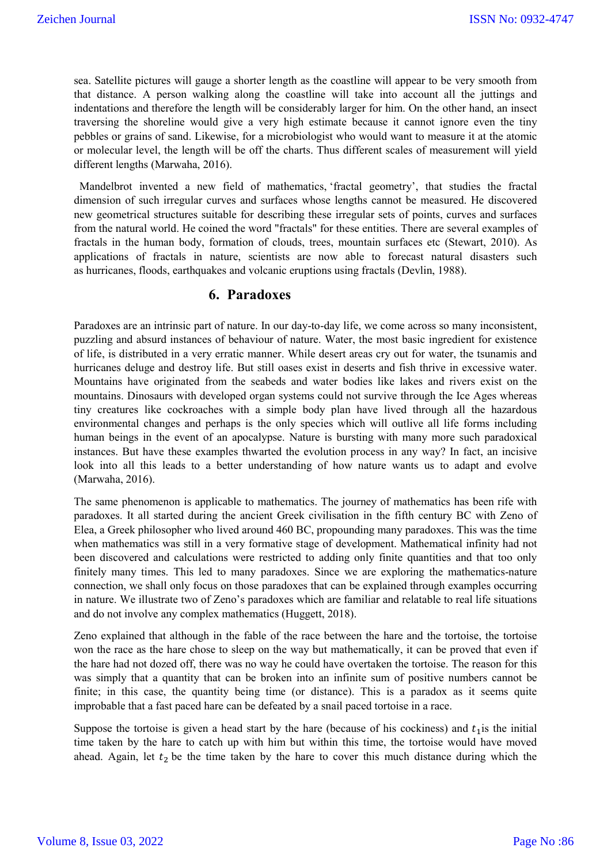sea. Satellite pictures will gauge a shorter length as the coastline will appear to be very smooth from that distance. A person walking along the coastline will take into account all the juttings and indentations and therefore the length will be considerably larger for him. On the other hand, an insect traversing the shoreline would give a very high estimate because it cannot ignore even the tiny pebbles or grains of sand. Likewise, for a microbiologist who would want to measure it at the atomic or molecular level, the length will be off the charts. Thus different scales of measurement will yield different lengths (Marwaha, 2016).

Mandelbrot invented a new field of mathematics, 'fractal geometry', that studies the fractal dimension of such irregular curves and surfaces whose lengths cannot be measured. He discovered new geometrical structures suitable for describing these irregular sets of points, curves and surfaces from the natural world. He coined the word "fractals" for these entities. There are several examples of fractals in the human body, formation of clouds, trees, mountain surfaces etc (Stewart, 2010). As applications of fractals in nature, scientists are now able to forecast natural disasters such as hurricanes, floods, earthquakes and volcanic eruptions using fractals (Devlin, 1988).

## **6. Paradoxes**

Paradoxes are an intrinsic part of nature. In our day-to-day life, we come across so many inconsistent, puzzling and absurd instances of behaviour of nature. Water, the most basic ingredient for existence of life, is distributed in a very erratic manner. While desert areas cry out for water, the tsunamis and hurricanes deluge and destroy life. But still oases exist in deserts and fish thrive in excessive water. Mountains have originated from the seabeds and water bodies like lakes and rivers exist on the mountains. Dinosaurs with developed organ systems could not survive through the Ice Ages whereas tiny creatures like cockroaches with a simple body plan have lived through all the hazardous environmental changes and perhaps is the only species which will outlive all life forms including human beings in the event of an apocalypse. Nature is bursting with many more such paradoxical instances. But have these examples thwarted the evolution process in any way? In fact, an incisive look into all this leads to a better understanding of how nature wants us to adapt and evolve (Marwaha, 2016).

The same phenomenon is applicable to mathematics. The journey of mathematics has been rife with paradoxes. It all started during the ancient Greek civilisation in the fifth century BC with Zeno of Elea, a Greek philosopher who lived around 460 BC, propounding many paradoxes. This was the time when mathematics was still in a very formative stage of development. Mathematical infinity had not been discovered and calculations were restricted to adding only finite quantities and that too only finitely many times. This led to many paradoxes. Since we are exploring the mathematics-nature connection, we shall only focus on those paradoxes that can be explained through examples occurring in nature. We illustrate two of Zeno's paradoxes which are familiar and relatable to real life situations and do not involve any complex mathematics (Huggett, 2018).

Zeno explained that although in the fable of the race between the hare and the tortoise, the tortoise won the race as the hare chose to sleep on the way but mathematically, it can be proved that even if the hare had not dozed off, there was no way he could have overtaken the tortoise. The reason for this was simply that a quantity that can be broken into an infinite sum of positive numbers cannot be finite; in this case, the quantity being time (or distance). This is a paradox as it seems quite improbable that a fast paced hare can be defeated by a snail paced tortoise in a race.

Suppose the tortoise is given a head start by the hare (because of his cockiness) and  $t_1$  is the initial time taken by the hare to catch up with him but within this time, the tortoise would have moved ahead. Again, let  $t_2$  be the time taken by the hare to cover this much distance during which the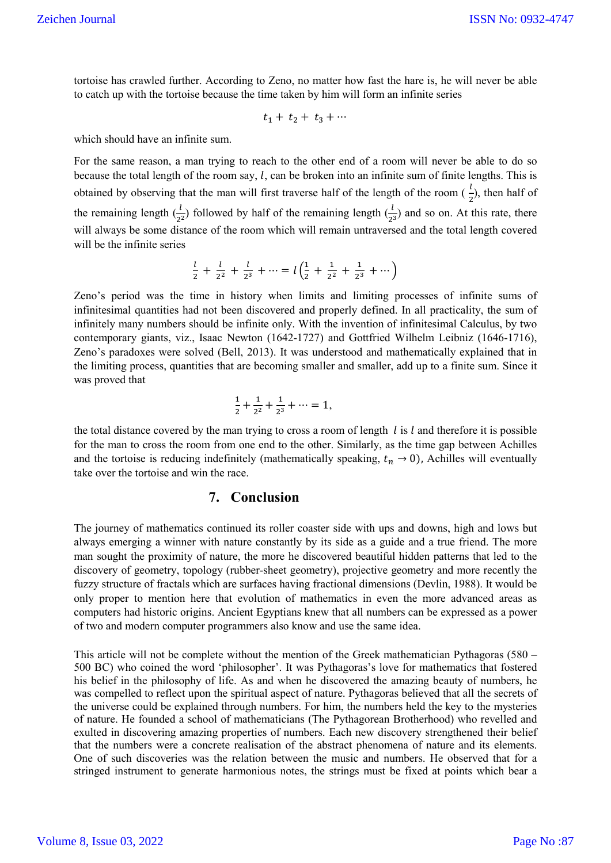tortoise has crawled further. According to Zeno, no matter how fast the hare is, he will never be able to catch up with the tortoise because the time taken by him will form an infinite series

$$
t_1+\ t_2+\ t_3+\cdots
$$

which should have an infinite sum.

For the same reason, a man trying to reach to the other end of a room will never be able to do so because the total length of the room say,  $l$ , can be broken into an infinite sum of finite lengths. This is obtained by observing that the man will first traverse half of the length of the room  $(\frac{l}{2})$ , then half of the remaining length  $(\frac{l}{2^2})$  followed by half of the remaining length  $(\frac{l}{2^3})$  and so on. At this rate, there will always be some distance of the room which will remain untraversed and the total length covered will be the infinite series

$$
\frac{l}{2} + \frac{l}{2^2} + \frac{l}{2^3} + \dots = l\left(\frac{1}{2} + \frac{1}{2^2} + \frac{1}{2^3} + \dots\right)
$$

Zeno's period was the time in history when limits and limiting processes of infinite sums of infinitesimal quantities had not been discovered and properly defined. In all practicality, the sum of infinitely many numbers should be infinite only. With the invention of infinitesimal Calculus, by two contemporary giants, viz., Isaac Newton (1642-1727) and Gottfried Wilhelm Leibniz (1646-1716), Zeno's paradoxes were solved (Bell, 2013). It was understood and mathematically explained that in the limiting process, quantities that are becoming smaller and smaller, add up to a finite sum. Since it was proved that

$$
\frac{1}{2} + \frac{1}{2^2} + \frac{1}{2^3} + \dots = 1,
$$

the total distance covered by the man trying to cross a room of length  $l$  is  $l$  and therefore it is possible for the man to cross the room from one end to the other. Similarly, as the time gap between Achilles and the tortoise is reducing indefinitely (mathematically speaking,  $t_n \to 0$ ), Achilles will eventually take over the tortoise and win the race.

### **7. Conclusion**

The journey of mathematics continued its roller coaster side with ups and downs, high and lows but always emerging a winner with nature constantly by its side as a guide and a true friend. The more man sought the proximity of nature, the more he discovered beautiful hidden patterns that led to the discovery of geometry, topology (rubber-sheet geometry), projective geometry and more recently the fuzzy structure of fractals which are surfaces having fractional dimensions (Devlin, 1988). It would be only proper to mention here that evolution of mathematics in even the more advanced areas as computers had historic origins. Ancient Egyptians knew that all numbers can be expressed as a power of two and modern computer programmers also know and use the same idea.

This article will not be complete without the mention of the Greek mathematician Pythagoras (580 – 500 BC) who coined the word 'philosopher'. It was Pythagoras's love for mathematics that fostered his belief in the philosophy of life. As and when he discovered the amazing beauty of numbers, he was compelled to reflect upon the spiritual aspect of nature. Pythagoras believed that all the secrets of the universe could be explained through numbers. For him, the numbers held the key to the mysteries of nature. He founded a school of mathematicians (The Pythagorean Brotherhood) who revelled and exulted in discovering amazing properties of numbers. Each new discovery strengthened their belief that the numbers were a concrete realisation of the abstract phenomena of nature and its elements. One of such discoveries was the relation between the music and numbers. He observed that for a stringed instrument to generate harmonious notes, the strings must be fixed at points which bear a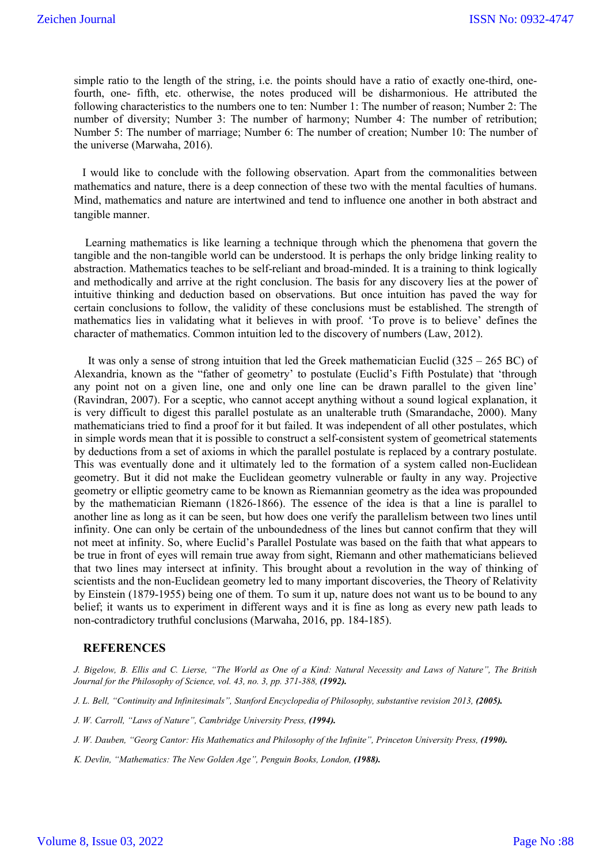simple ratio to the length of the string, i.e. the points should have a ratio of exactly one-third, onefourth, one- fifth, etc. otherwise, the notes produced will be disharmonious. He attributed the following characteristics to the numbers one to ten: Number 1: The number of reason; Number 2: The number of diversity; Number 3: The number of harmony; Number 4: The number of retribution; Number 5: The number of marriage; Number 6: The number of creation; Number 10: The number of the universe (Marwaha, 2016).

 I would like to conclude with the following observation. Apart from the commonalities between mathematics and nature, there is a deep connection of these two with the mental faculties of humans. Mind, mathematics and nature are intertwined and tend to influence one another in both abstract and tangible manner.

 Learning mathematics is like learning a technique through which the phenomena that govern the tangible and the non-tangible world can be understood. It is perhaps the only bridge linking reality to abstraction. Mathematics teaches to be self-reliant and broad-minded. It is a training to think logically and methodically and arrive at the right conclusion. The basis for any discovery lies at the power of intuitive thinking and deduction based on observations. But once intuition has paved the way for certain conclusions to follow, the validity of these conclusions must be established. The strength of mathematics lies in validating what it believes in with proof. 'To prove is to believe' defines the character of mathematics. Common intuition led to the discovery of numbers (Law, 2012).

It was only a sense of strong intuition that led the Greek mathematician Euclid  $(325 - 265 \text{ BC})$  of Alexandria, known as the "father of geometry' to postulate (Euclid's Fifth Postulate) that 'through any point not on a given line, one and only one line can be drawn parallel to the given line' (Ravindran, 2007). For a sceptic, who cannot accept anything without a sound logical explanation, it is very difficult to digest this parallel postulate as an unalterable truth (Smarandache, 2000). Many mathematicians tried to find a proof for it but failed. It was independent of all other postulates, which in simple words mean that it is possible to construct a self-consistent system of geometrical statements by deductions from a set of axioms in which the parallel postulate is replaced by a contrary postulate. This was eventually done and it ultimately led to the formation of a system called non-Euclidean geometry. But it did not make the Euclidean geometry vulnerable or faulty in any way. Projective geometry or elliptic geometry came to be known as Riemannian geometry as the idea was propounded by the mathematician Riemann (1826-1866). The essence of the idea is that a line is parallel to another line as long as it can be seen, but how does one verify the parallelism between two lines until infinity. One can only be certain of the unboundedness of the lines but cannot confirm that they will not meet at infinity. So, where Euclid's Parallel Postulate was based on the faith that what appears to be true in front of eyes will remain true away from sight, Riemann and other mathematicians believed that two lines may intersect at infinity. This brought about a revolution in the way of thinking of scientists and the non-Euclidean geometry led to many important discoveries, the Theory of Relativity by Einstein (1879-1955) being one of them. To sum it up, nature does not want us to be bound to any belief; it wants us to experiment in different ways and it is fine as long as every new path leads to non-contradictory truthful conclusions (Marwaha, 2016, pp. 184-185).

### **REFERENCES**

*J. Bigelow, B. Ellis and C. Lierse, "The World as One of a Kind: Natural Necessity and Laws of Nature", The British Journal for the Philosophy of Science, vol. 43, no. 3, pp. 371-388, (1992).* 

*J. L. Bell, "Continuity and Infinitesimals", Stanford Encyclopedia of Philosophy, substantive revision 2013, (2005).* 

*J. W. Carroll, "Laws of Nature", Cambridge University Press, (1994).*

*J. W. Dauben, "Georg Cantor: His Mathematics and Philosophy of the Infinite", Princeton University Press, (1990).* 

K. Devlin, "Mathematics: The New Golden Age", Penguin Books, London, (1988).